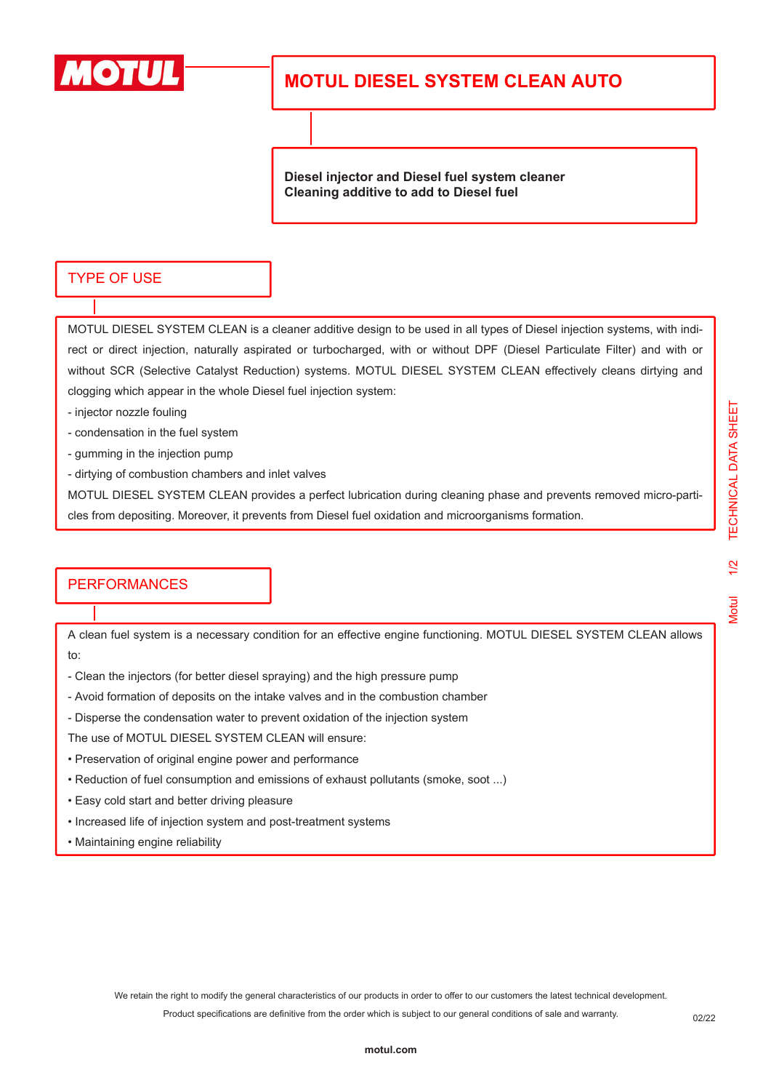

## **MOTUL DIESEL SYSTEM CLEAN AUTO**

**Diesel injector and Diesel fuel system cleaner Cleaning additive to add to Diesel fuel**

## TYPE OF USE

MOTUL DIESEL SYSTEM CLEAN is a cleaner additive design to be used in all types of Diesel injection systems, with indirect or direct injection, naturally aspirated or turbocharged, with or without DPF (Diesel Particulate Filter) and with or without SCR (Selective Catalyst Reduction) systems. MOTUL DIESEL SYSTEM CLEAN effectively cleans dirtying and clogging which appear in the whole Diesel fuel injection system:

- injector nozzle fouling
- condensation in the fuel system
- gumming in the injection pump
- dirtying of combustion chambers and inlet valves

MOTUL DIESEL SYSTEM CLEAN provides a perfect lubrication during cleaning phase and prevents removed micro-particles from depositing. Moreover, it prevents from Diesel fuel oxidation and microorganisms formation.

## **PERFORMANCES**

A clean fuel system is a necessary condition for an effective engine functioning. MOTUL DIESEL SYSTEM CLEAN allows to:

- Clean the injectors (for better diesel spraying) and the high pressure pump
- Avoid formation of deposits on the intake valves and in the combustion chamber
- Disperse the condensation water to prevent oxidation of the injection system
- The use of MOTUL DIESEL SYSTEM CLEAN will ensure:
- Preservation of original engine power and performance
- Reduction of fuel consumption and emissions of exhaust pollutants (smoke, soot ...)
- Easy cold start and better driving pleasure
- Increased life of injection system and post-treatment systems
- Maintaining engine reliability

We retain the right to modify the general characteristics of our products in order to offer to our customers the latest technical development. Product specifications are definitive from the order which is subject to our general conditions of sale and warranty.